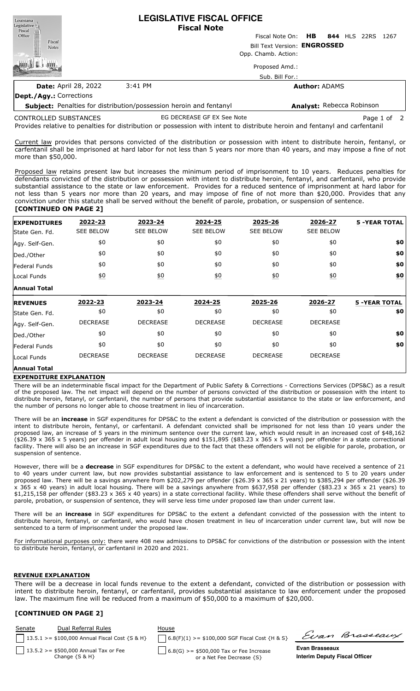| Louisiana<br>Legislative<br>Fiscal<br>Office |                             |         | <b>LEGISLATIVE FISCAL OFFICE</b><br><b>Fiscal Note</b> |                                      |                      |  |  |  |  |
|----------------------------------------------|-----------------------------|---------|--------------------------------------------------------|--------------------------------------|----------------------|--|--|--|--|
|                                              |                             |         |                                                        | Fiscal Note On: HB 844 HLS 22RS 1267 |                      |  |  |  |  |
| Fiscal<br><b>Notes</b>                       |                             |         | Bill Text Version: ENGROSSED                           |                                      |                      |  |  |  |  |
|                                              |                             |         |                                                        | Opp. Chamb. Action:                  |                      |  |  |  |  |
|                                              |                             |         |                                                        | Proposed Amd.:                       |                      |  |  |  |  |
|                                              |                             |         |                                                        | Sub. Bill For.:                      |                      |  |  |  |  |
|                                              | <b>Date: April 28, 2022</b> | 3:41 PM |                                                        |                                      | <b>Author: ADAMS</b> |  |  |  |  |

# **Dept./Agy.:** Corrections

**Subject:** Penalties for distribution/possession heroin and fentanyl **Analyst:** Rebecca Robinson

CONTROLLED SUBSTANCES

EG DECREASE GF EX See Note **Page 1** of 2

Provides relative to penalties for distribution or possession with intent to distribute heroin and fentanyl and carfentanil

Current law provides that persons convicted of the distribution or possession with intent to distribute heroin, fentanyl, or carfentanil shall be imprisoned at hard labor for not less than 5 years nor more than 40 years, and may impose a fine of not more than \$50,000.

Proposed law retains present law but increases the minimum period of imprisonment to 10 years. Reduces penalties for defendants convicted of the distribution or possession with intent to distribute heroin, fentanyl, and carfentanil, who provide substantial assistance to the state or law enforcement. Provides for a reduced sentence of imprisonment at hard labor for not less than 5 years nor more than 20 years, and may impose of fine of not more than \$20,000. Provides that any conviction under this statute shall be served without the benefit of parole, probation, or suspension of sentence.

### **[CONTINUED ON PAGE 2]**

| <b>EXPENDITURES</b> | 2022-23          | 2023-24          | 2024-25          | 2025-26           | 2026-27          | <b>5 -YEAR TOTAL</b> |
|---------------------|------------------|------------------|------------------|-------------------|------------------|----------------------|
| lState Gen. Fd.     | SEE BELOW        | <b>SEE BELOW</b> | <b>SEE BELOW</b> | <b>SEE BELOW</b>  | <b>SEE BELOW</b> |                      |
| Agy. Self-Gen.      | \$0              | \$0              | \$0              | \$0               | \$0              | \$0                  |
| Ded./Other          | \$0              | \$0              | \$0              | \$0               | \$0              | \$0                  |
| Federal Funds       | \$0              | \$0              | \$0              | \$0               | \$0              | \$0                  |
| Local Funds         | $\underline{50}$ | $\underline{50}$ | $\underline{50}$ | $\underline{\$0}$ | $\underline{50}$ | \$0                  |
| <b>Annual Total</b> |                  |                  |                  |                   |                  |                      |
| <b>REVENUES</b>     | 2022-23          | 2023-24          | 2024-25          | 2025-26           | 2026-27          | <b>5 -YEAR TOTAL</b> |
| State Gen. Fd.      | \$0              | \$0              | \$0              | \$0               | \$0              | \$0                  |
| Agy. Self-Gen.      | <b>DECREASE</b>  | <b>DECREASE</b>  | <b>DECREASE</b>  | <b>DECREASE</b>   | <b>DECREASE</b>  |                      |
| Ded./Other          | \$0              | \$0              | \$0              | \$0               | \$0              | \$0                  |
| Federal Funds       | \$0              | \$0              | \$0              | \$0               | \$0              | \$0                  |
|                     |                  |                  |                  |                   |                  |                      |
| Local Funds         | <b>DECREASE</b>  | <b>DECREASE</b>  | <b>DECREASE</b>  | <b>DECREASE</b>   | <b>DECREASE</b>  |                      |

# **EXPENDITURE EXPLANATION**

There will be an indeterminable fiscal impact for the Department of Public Safety & Corrections - Corrections Services (DPS&C) as a result of the proposed law. The net impact will depend on the number of persons convicted of the distribution or possession with the intent to distribute heroin, fetanyl, or carfentanil, the number of persons that provide substantial assistance to the state or law enforcement, and the number of persons no longer able to choose treatment in lieu of incarceration.

There will be an **increase** in SGF expenditures for DPS&C to the extent a defendant is convicted of the distribution or possession with the intent to distribute heroin, fentanyl, or carfentanil. A defendant convicted shall be imprisoned for not less than 10 years under the proposed law, an increase of 5 years in the minimum sentence over the current law, which would result in an increased cost of \$48,162 (\$26.39 x 365 x 5 years) per offender in adult local housing and \$151,895 (\$83.23 x 365 x 5 years) per offender in a state correctional facility. There will also be an increase in SGF expenditures due to the fact that these offenders will not be eligible for parole, probation, or suspension of sentence.

However, there will be a **decrease** in SGF expenditures for DPS&C to the extent a defendant, who would have received a sentence of 21 to 40 years under current law, but now provides substantial assistance to law enforcement and is sentenced to 5 to 20 years under proposed law. There will be a savings anywhere from \$202,279 per offender (\$26.39 x 365 x 21 years) to \$385,294 per offender (\$26.39 x 365 x 40 years) in adult local housing. There will be a savings anywhere from \$637,958 per offender (\$83.23 x 365 x 21 years) to \$1,215,158 per offender (\$83.23 x 365 x 40 years) in a state correctional facility. While these offenders shall serve without the benefit of parole, probation, or suspension of sentence, they will serve less time under proposed law than under current law.

There will be an **increase** in SGF expenditures for DPS&C to the extent a defendant convicted of the possession with the intent to distribute heroin, fentanyl, or carfentanil, who would have chosen treatment in lieu of incarceration under current law, but will now be sentenced to a term of imprisonment under the proposed law.

For informational purposes only: there were 408 new admissions to DPS&C for convictions of the distribution or possession with the intent to distribute heroin, fentanyl, or carfentanil in 2020 and 2021.

### **REVENUE EXPLANATION**

There will be a decrease in local funds revenue to the extent a defendant, convicted of the distribution or possession with intent to distribute heroin, fentanyl, or carfentanil, provides substantial assistance to law enforcement under the proposed law. The maximum fine will be reduced from a maximum of \$50,000 to a maximum of \$20,000.

# **[CONTINUED ON PAGE 2]**

| <b>Senate</b> | Dual Referral Rules<br>$13.5.1$ >= \$100,000 Annual Fiscal Cost {S & H} | House<br>$6.8(F)(1)$ >= \$100,000 SGF Fiscal Cost {H & S}              |                                                               | Evan Brasseaux |
|---------------|-------------------------------------------------------------------------|------------------------------------------------------------------------|---------------------------------------------------------------|----------------|
|               | $13.5.2 > = $500,000$ Annual Tax or Fee<br>Change $\{S \& H\}$          | $6.8(G)$ >= \$500,000 Tax or Fee Increase<br>or a Net Fee Decrease {S} | <b>Evan Brasseaux</b><br><b>Interim Deputy Fiscal Officer</b> |                |